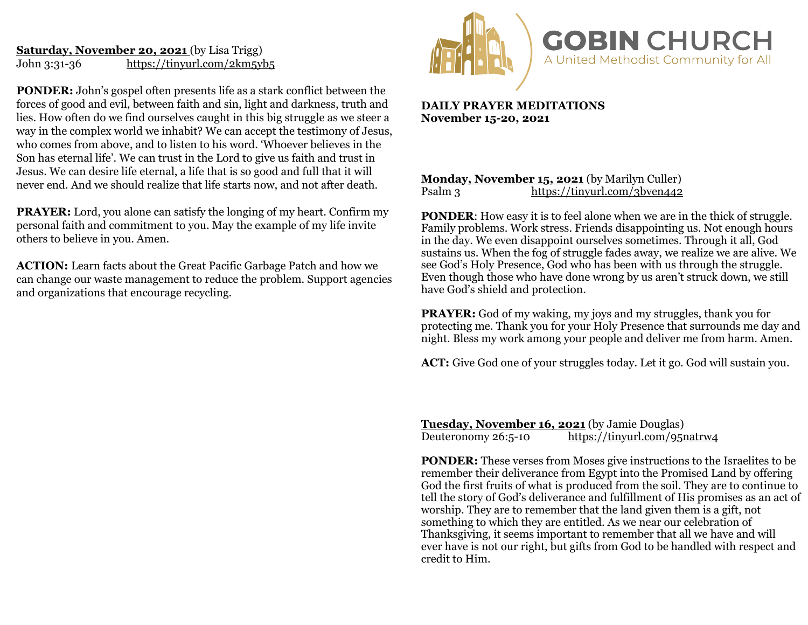## **Saturday, November 20, 2021** (by Lisa Trigg) John 3:31-36 <https://tinyurl.com/2km5yb5>

**PONDER:** John's gospel often presents life as a stark conflict between the forces of good and evil, between faith and sin, light and darkness, truth and lies. How often do we find ourselves caught in this big struggle as we steer a way in the complex world we inhabit? We can accept the testimony of Jesus, who comes from above, and to listen to his word. 'Whoever believes in the Son has eternal life'. We can trust in the Lord to give us faith and trust in Jesus. We can desire life eternal, a life that is so good and full that it will never end. And we should realize that life starts now, and not after death.

**PRAYER:** Lord, you alone can satisfy the longing of my heart. Confirm my personal faith and commitment to you. May the example of my life invite others to believe in you. Amen.

**ACTION:** Learn facts about the Great Pacific Garbage Patch and how we can change our waste management to reduce the problem. Support agencies and organizations that encourage recycling.



**DAILY PRAYER MEDITATIONS November 15-20, 2021**

### **Monday, November 15, 2021** (by Marilyn Culler)<br>Psalm 3 https://tinvurl.com/3bven442 <https://tinyurl.com/3bven442>

**PONDER:** How easy it is to feel alone when we are in the thick of struggle. Family problems. Work stress. Friends disappointing us. Not enough hours in the day. We even disappoint ourselves sometimes. Through it all, God sustains us. When the fog of struggle fades away, we realize we are alive. We see God's Holy Presence, God who has been with us through the struggle. Even though those who have done wrong by us aren't struck down, we still have God's shield and protection.

**PRAYER:** God of my waking, my joys and my struggles, thank you for protecting me. Thank you for your Holy Presence that surrounds me day and night. Bless my work among your people and deliver me from harm. Amen.

**ACT:** Give God one of your struggles today. Let it go. God will sustain you.

**Tuesday, November 16, 2021** (by Jamie Douglas)<br>Deuteronomy 26:5-10 https://tinyurl.com/951 <https://tinyurl.com/95natrw4>

**PONDER:** These verses from Moses give instructions to the Israelites to be remember their deliverance from Egypt into the Promised Land by offering God the first fruits of what is produced from the soil. They are to continue to tell the story of God's deliverance and fulfillment of His promises as an act of worship. They are to remember that the land given them is a gift, not something to which they are entitled. As we near our celebration of Thanksgiving, it seems important to remember that all we have and will ever have is not our right, but gifts from God to be handled with respect and credit to Him.